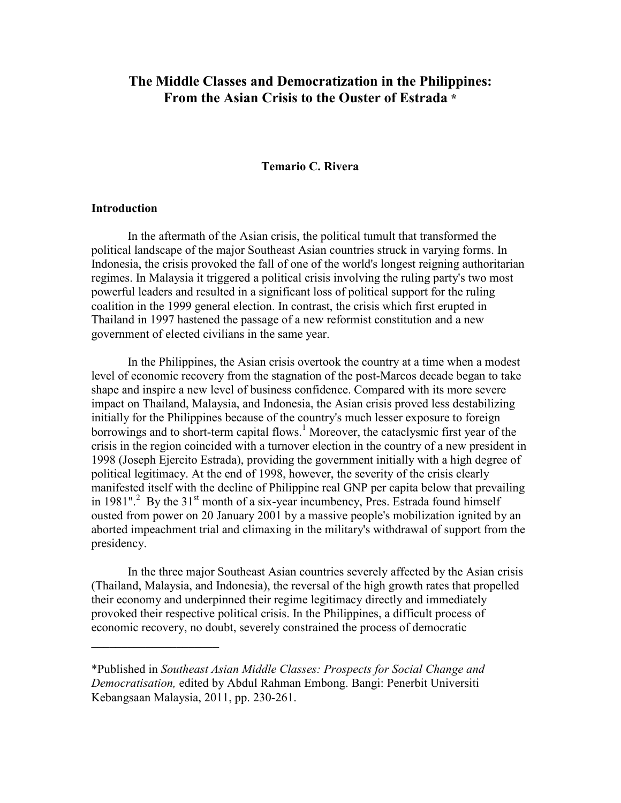# **The Middle Classes and Democratization in the Philippines: From the Asian Crisis to the Ouster of Estrada \***

#### **Temario C. Rivera**

#### **Introduction**

 $\overline{\phantom{a}}$  , which is a set of the set of the set of the set of the set of the set of the set of the set of the set of the set of the set of the set of the set of the set of the set of the set of the set of the set of th

In the aftermath of the Asian crisis, the political tumult that transformed the political landscape of the major Southeast Asian countries struck in varying forms. In Indonesia, the crisis provoked the fall of one of the world's longest reigning authoritarian regimes. In Malaysia it triggered a political crisis involving the ruling party's two most powerful leaders and resulted in a significant loss of political support for the ruling coalition in the 1999 general election. In contrast, the crisis which first erupted in Thailand in 1997 hastened the passage of a new reformist constitution and a new government of elected civilians in the same year.

 In the Philippines, the Asian crisis overtook the country at a time when a modest level of economic recovery from the stagnation of the post-Marcos decade began to take shape and inspire a new level of business confidence. Compared with its more severe impact on Thailand, Malaysia, and Indonesia, the Asian crisis proved less destabilizing initially for the Philippines because of the country's much lesser exposure to foreign borrowings and to short-term capital flows.<sup>1</sup> Moreover, the cataclysmic first year of the crisis in the region coincided with a turnover election in the country of a new president in 1998 (Joseph Ejercito Estrada), providing the government initially with a high degree of political legitimacy. At the end of 1998, however, the severity of the crisis clearly manifested itself with the decline of Philippine real GNP per capita below that prevailing in 1981".<sup>2</sup> By the 31<sup>st</sup> month of a six-year incumbency, Pres. Estrada found himself ousted from power on 20 January 2001 by a massive people's mobilization ignited by an aborted impeachment trial and climaxing in the military's withdrawal of support from the presidency.

In the three major Southeast Asian countries severely affected by the Asian crisis (Thailand, Malaysia, and Indonesia), the reversal of the high growth rates that propelled their economy and underpinned their regime legitimacy directly and immediately provoked their respective political crisis. In the Philippines, a difficult process of economic recovery, no doubt, severely constrained the process of democratic

<sup>\*</sup>Published in *Southeast Asian Middle Classes: Prospects for Social Change and Democratisation,* edited by Abdul Rahman Embong. Bangi: Penerbit Universiti Kebangsaan Malaysia, 2011, pp. 230-261.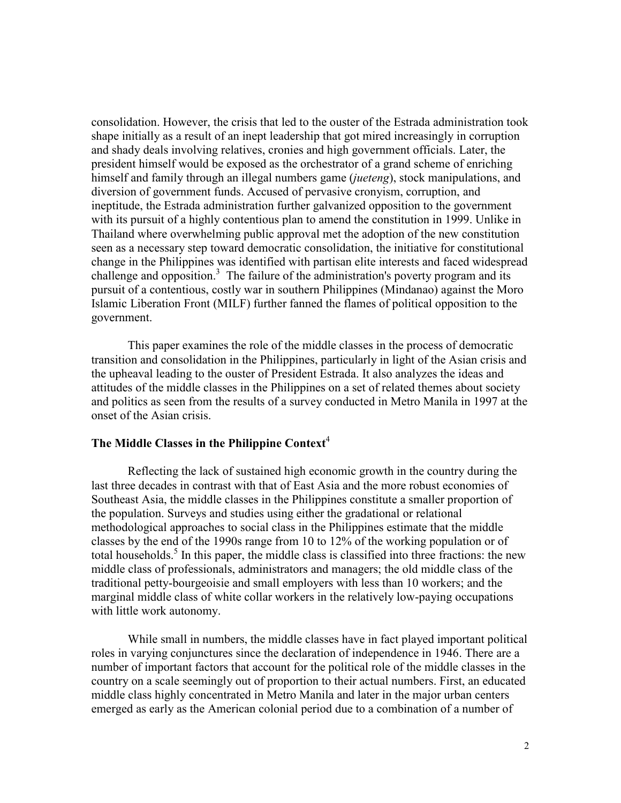consolidation. However, the crisis that led to the ouster of the Estrada administration took shape initially as a result of an inept leadership that got mired increasingly in corruption and shady deals involving relatives, cronies and high government officials. Later, the president himself would be exposed as the orchestrator of a grand scheme of enriching himself and family through an illegal numbers game (*jueteng*), stock manipulations, and diversion of government funds. Accused of pervasive cronyism, corruption, and ineptitude, the Estrada administration further galvanized opposition to the government with its pursuit of a highly contentious plan to amend the constitution in 1999. Unlike in Thailand where overwhelming public approval met the adoption of the new constitution seen as a necessary step toward democratic consolidation, the initiative for constitutional change in the Philippines was identified with partisan elite interests and faced widespread challenge and opposition.<sup>3</sup> The failure of the administration's poverty program and its pursuit of a contentious, costly war in southern Philippines (Mindanao) against the Moro Islamic Liberation Front (MILF) further fanned the flames of political opposition to the government.

 This paper examines the role of the middle classes in the process of democratic transition and consolidation in the Philippines, particularly in light of the Asian crisis and the upheaval leading to the ouster of President Estrada. It also analyzes the ideas and attitudes of the middle classes in the Philippines on a set of related themes about society and politics as seen from the results of a survey conducted in Metro Manila in 1997 at the onset of the Asian crisis.

# **The Middle Classes in the Philippine Context**<sup>4</sup>

Reflecting the lack of sustained high economic growth in the country during the last three decades in contrast with that of East Asia and the more robust economies of Southeast Asia, the middle classes in the Philippines constitute a smaller proportion of the population. Surveys and studies using either the gradational or relational methodological approaches to social class in the Philippines estimate that the middle classes by the end of the 1990s range from 10 to 12% of the working population or of total households.<sup>5</sup> In this paper, the middle class is classified into three fractions: the new middle class of professionals, administrators and managers; the old middle class of the traditional petty-bourgeoisie and small employers with less than 10 workers; and the marginal middle class of white collar workers in the relatively low-paying occupations with little work autonomy.

 While small in numbers, the middle classes have in fact played important political roles in varying conjunctures since the declaration of independence in 1946. There are a number of important factors that account for the political role of the middle classes in the country on a scale seemingly out of proportion to their actual numbers. First, an educated middle class highly concentrated in Metro Manila and later in the major urban centers emerged as early as the American colonial period due to a combination of a number of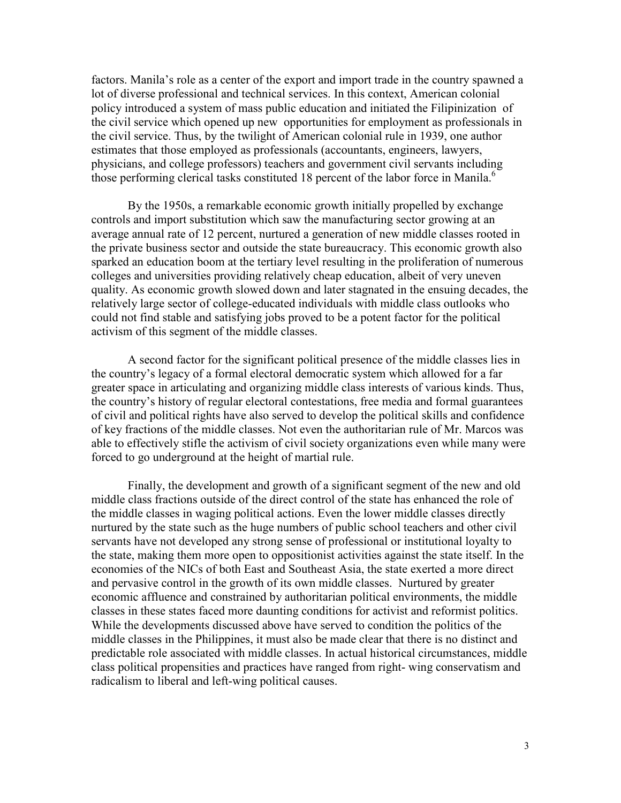factors. Manila's role as a center of the export and import trade in the country spawned a lot of diverse professional and technical services. In this context, American colonial policy introduced a system of mass public education and initiated the Filipinization of the civil service which opened up new opportunities for employment as professionals in the civil service. Thus, by the twilight of American colonial rule in 1939, one author estimates that those employed as professionals (accountants, engineers, lawyers, physicians, and college professors) teachers and government civil servants including those performing clerical tasks constituted 18 percent of the labor force in Manila.<sup>6</sup>

By the 1950s, a remarkable economic growth initially propelled by exchange controls and import substitution which saw the manufacturing sector growing at an average annual rate of 12 percent, nurtured a generation of new middle classes rooted in the private business sector and outside the state bureaucracy. This economic growth also sparked an education boom at the tertiary level resulting in the proliferation of numerous colleges and universities providing relatively cheap education, albeit of very uneven quality. As economic growth slowed down and later stagnated in the ensuing decades, the relatively large sector of college-educated individuals with middle class outlooks who could not find stable and satisfying jobs proved to be a potent factor for the political activism of this segment of the middle classes.

A second factor for the significant political presence of the middle classes lies in the country's legacy of a formal electoral democratic system which allowed for a far greater space in articulating and organizing middle class interests of various kinds. Thus, the country's history of regular electoral contestations, free media and formal guarantees of civil and political rights have also served to develop the political skills and confidence of key fractions of the middle classes. Not even the authoritarian rule of Mr. Marcos was able to effectively stifle the activism of civil society organizations even while many were forced to go underground at the height of martial rule.

Finally, the development and growth of a significant segment of the new and old middle class fractions outside of the direct control of the state has enhanced the role of the middle classes in waging political actions. Even the lower middle classes directly nurtured by the state such as the huge numbers of public school teachers and other civil servants have not developed any strong sense of professional or institutional loyalty to the state, making them more open to oppositionist activities against the state itself. In the economies of the NICs of both East and Southeast Asia, the state exerted a more direct and pervasive control in the growth of its own middle classes. Nurtured by greater economic affluence and constrained by authoritarian political environments, the middle classes in these states faced more daunting conditions for activist and reformist politics. While the developments discussed above have served to condition the politics of the middle classes in the Philippines, it must also be made clear that there is no distinct and predictable role associated with middle classes. In actual historical circumstances, middle class political propensities and practices have ranged from right- wing conservatism and radicalism to liberal and left-wing political causes.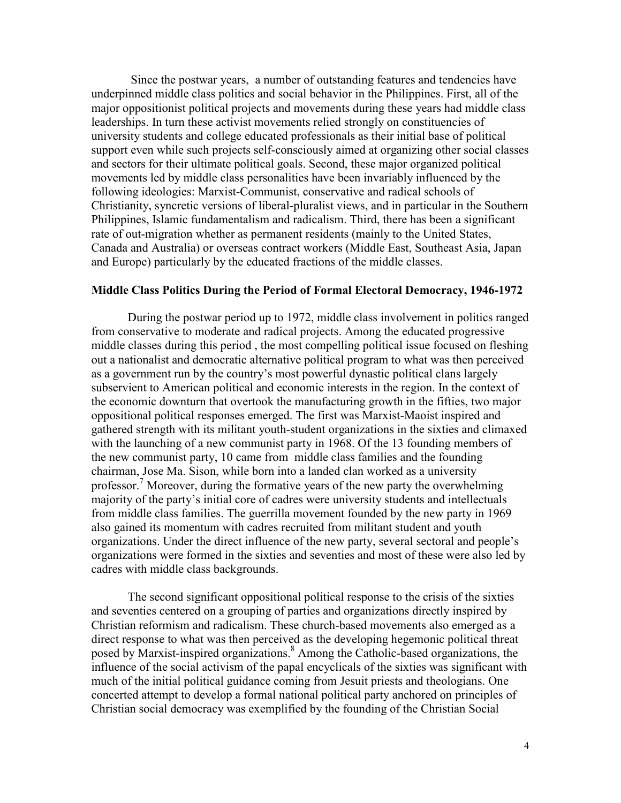Since the postwar years, a number of outstanding features and tendencies have underpinned middle class politics and social behavior in the Philippines. First, all of the major oppositionist political projects and movements during these years had middle class leaderships. In turn these activist movements relied strongly on constituencies of university students and college educated professionals as their initial base of political support even while such projects self-consciously aimed at organizing other social classes and sectors for their ultimate political goals. Second, these major organized political movements led by middle class personalities have been invariably influenced by the following ideologies: Marxist-Communist, conservative and radical schools of Christianity, syncretic versions of liberal-pluralist views, and in particular in the Southern Philippines, Islamic fundamentalism and radicalism. Third, there has been a significant rate of out-migration whether as permanent residents (mainly to the United States, Canada and Australia) or overseas contract workers (Middle East, Southeast Asia, Japan and Europe) particularly by the educated fractions of the middle classes.

## **Middle Class Politics During the Period of Formal Electoral Democracy, 1946-1972**

 During the postwar period up to 1972, middle class involvement in politics ranged from conservative to moderate and radical projects. Among the educated progressive middle classes during this period , the most compelling political issue focused on fleshing out a nationalist and democratic alternative political program to what was then perceived as a government run by the country's most powerful dynastic political clans largely subservient to American political and economic interests in the region. In the context of the economic downturn that overtook the manufacturing growth in the fifties, two major oppositional political responses emerged. The first was Marxist-Maoist inspired and gathered strength with its militant youth-student organizations in the sixties and climaxed with the launching of a new communist party in 1968. Of the 13 founding members of the new communist party, 10 came from middle class families and the founding chairman, Jose Ma. Sison, while born into a landed clan worked as a university professor.<sup>7</sup> Moreover, during the formative years of the new party the overwhelming majority of the party's initial core of cadres were university students and intellectuals from middle class families. The guerrilla movement founded by the new party in 1969 also gained its momentum with cadres recruited from militant student and youth organizations. Under the direct influence of the new party, several sectoral and people's organizations were formed in the sixties and seventies and most of these were also led by cadres with middle class backgrounds.

 The second significant oppositional political response to the crisis of the sixties and seventies centered on a grouping of parties and organizations directly inspired by Christian reformism and radicalism. These church-based movements also emerged as a direct response to what was then perceived as the developing hegemonic political threat posed by Marxist-inspired organizations.<sup>8</sup> Among the Catholic-based organizations, the influence of the social activism of the papal encyclicals of the sixties was significant with much of the initial political guidance coming from Jesuit priests and theologians. One concerted attempt to develop a formal national political party anchored on principles of Christian social democracy was exemplified by the founding of the Christian Social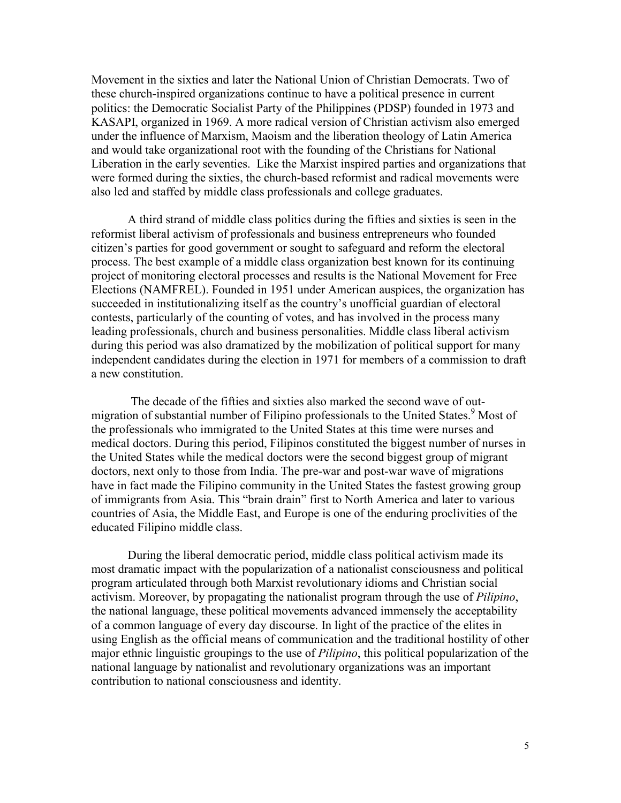Movement in the sixties and later the National Union of Christian Democrats. Two of these church-inspired organizations continue to have a political presence in current politics: the Democratic Socialist Party of the Philippines (PDSP) founded in 1973 and KASAPI, organized in 1969. A more radical version of Christian activism also emerged under the influence of Marxism, Maoism and the liberation theology of Latin America and would take organizational root with the founding of the Christians for National Liberation in the early seventies. Like the Marxist inspired parties and organizations that were formed during the sixties, the church-based reformist and radical movements were also led and staffed by middle class professionals and college graduates.

A third strand of middle class politics during the fifties and sixties is seen in the reformist liberal activism of professionals and business entrepreneurs who founded citizen's parties for good government or sought to safeguard and reform the electoral process. The best example of a middle class organization best known for its continuing project of monitoring electoral processes and results is the National Movement for Free Elections (NAMFREL). Founded in 1951 under American auspices, the organization has succeeded in institutionalizing itself as the country's unofficial guardian of electoral contests, particularly of the counting of votes, and has involved in the process many leading professionals, church and business personalities. Middle class liberal activism during this period was also dramatized by the mobilization of political support for many independent candidates during the election in 1971 for members of a commission to draft a new constitution.

 The decade of the fifties and sixties also marked the second wave of outmigration of substantial number of Filipino professionals to the United States.<sup>9</sup> Most of the professionals who immigrated to the United States at this time were nurses and medical doctors. During this period, Filipinos constituted the biggest number of nurses in the United States while the medical doctors were the second biggest group of migrant doctors, next only to those from India. The pre-war and post-war wave of migrations have in fact made the Filipino community in the United States the fastest growing group of immigrants from Asia. This "brain drain" first to North America and later to various countries of Asia, the Middle East, and Europe is one of the enduring proclivities of the educated Filipino middle class.

During the liberal democratic period, middle class political activism made its most dramatic impact with the popularization of a nationalist consciousness and political program articulated through both Marxist revolutionary idioms and Christian social activism. Moreover, by propagating the nationalist program through the use of *Pilipino*, the national language, these political movements advanced immensely the acceptability of a common language of every day discourse. In light of the practice of the elites in using English as the official means of communication and the traditional hostility of other major ethnic linguistic groupings to the use of *Pilipino*, this political popularization of the national language by nationalist and revolutionary organizations was an important contribution to national consciousness and identity.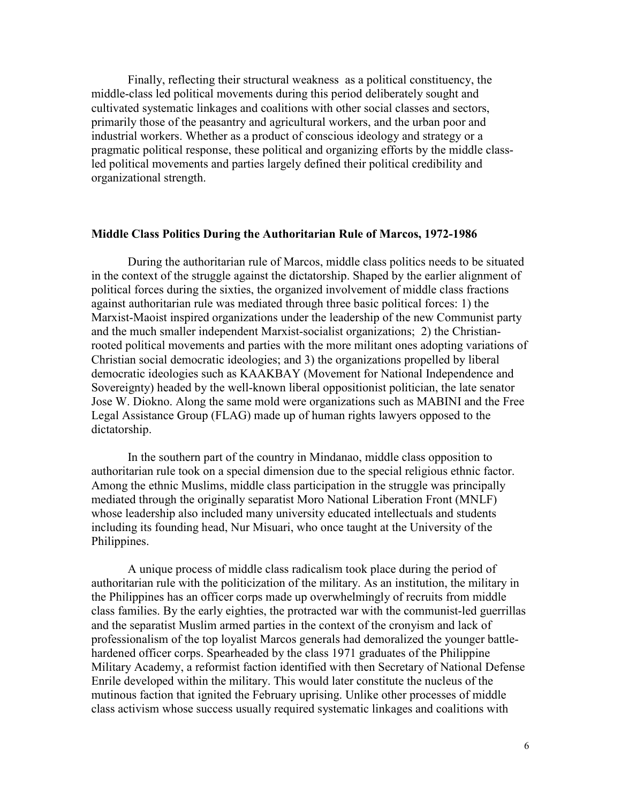Finally, reflecting their structural weakness as a political constituency, the middle-class led political movements during this period deliberately sought and cultivated systematic linkages and coalitions with other social classes and sectors, primarily those of the peasantry and agricultural workers, and the urban poor and industrial workers. Whether as a product of conscious ideology and strategy or a pragmatic political response, these political and organizing efforts by the middle classled political movements and parties largely defined their political credibility and organizational strength.

## **Middle Class Politics During the Authoritarian Rule of Marcos, 1972-1986**

During the authoritarian rule of Marcos, middle class politics needs to be situated in the context of the struggle against the dictatorship. Shaped by the earlier alignment of political forces during the sixties, the organized involvement of middle class fractions against authoritarian rule was mediated through three basic political forces: 1) the Marxist-Maoist inspired organizations under the leadership of the new Communist party and the much smaller independent Marxist-socialist organizations; 2) the Christianrooted political movements and parties with the more militant ones adopting variations of Christian social democratic ideologies; and 3) the organizations propelled by liberal democratic ideologies such as KAAKBAY (Movement for National Independence and Sovereignty) headed by the well-known liberal oppositionist politician, the late senator Jose W. Diokno. Along the same mold were organizations such as MABINI and the Free Legal Assistance Group (FLAG) made up of human rights lawyers opposed to the dictatorship.

In the southern part of the country in Mindanao, middle class opposition to authoritarian rule took on a special dimension due to the special religious ethnic factor. Among the ethnic Muslims, middle class participation in the struggle was principally mediated through the originally separatist Moro National Liberation Front (MNLF) whose leadership also included many university educated intellectuals and students including its founding head, Nur Misuari, who once taught at the University of the Philippines.

A unique process of middle class radicalism took place during the period of authoritarian rule with the politicization of the military. As an institution, the military in the Philippines has an officer corps made up overwhelmingly of recruits from middle class families. By the early eighties, the protracted war with the communist-led guerrillas and the separatist Muslim armed parties in the context of the cronyism and lack of professionalism of the top loyalist Marcos generals had demoralized the younger battlehardened officer corps. Spearheaded by the class 1971 graduates of the Philippine Military Academy, a reformist faction identified with then Secretary of National Defense Enrile developed within the military. This would later constitute the nucleus of the mutinous faction that ignited the February uprising. Unlike other processes of middle class activism whose success usually required systematic linkages and coalitions with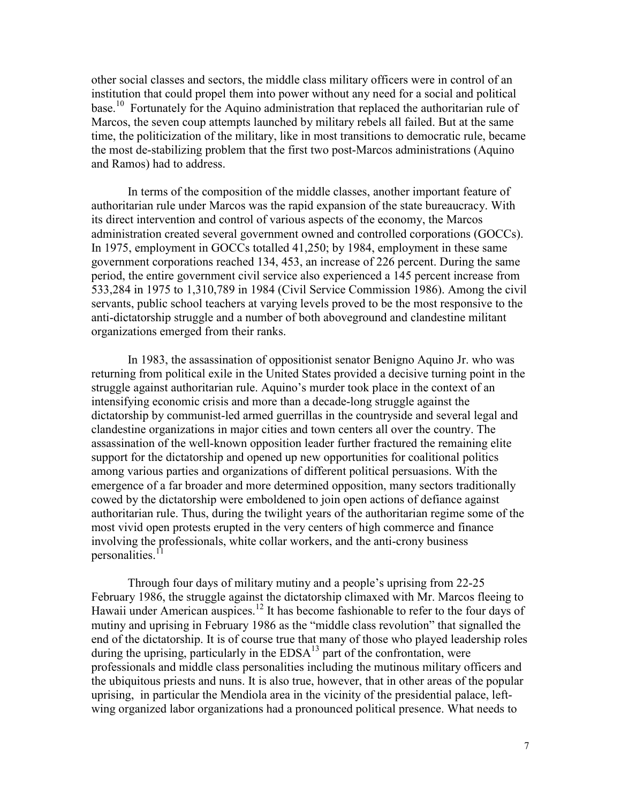other social classes and sectors, the middle class military officers were in control of an institution that could propel them into power without any need for a social and political base.<sup>10</sup> Fortunately for the Aquino administration that replaced the authoritarian rule of Marcos, the seven coup attempts launched by military rebels all failed. But at the same time, the politicization of the military, like in most transitions to democratic rule, became the most de-stabilizing problem that the first two post-Marcos administrations (Aquino and Ramos) had to address.

In terms of the composition of the middle classes, another important feature of authoritarian rule under Marcos was the rapid expansion of the state bureaucracy. With its direct intervention and control of various aspects of the economy, the Marcos administration created several government owned and controlled corporations (GOCCs). In 1975, employment in GOCCs totalled 41,250; by 1984, employment in these same government corporations reached 134, 453, an increase of 226 percent. During the same period, the entire government civil service also experienced a 145 percent increase from 533,284 in 1975 to 1,310,789 in 1984 (Civil Service Commission 1986). Among the civil servants, public school teachers at varying levels proved to be the most responsive to the anti-dictatorship struggle and a number of both aboveground and clandestine militant organizations emerged from their ranks.

 In 1983, the assassination of oppositionist senator Benigno Aquino Jr. who was returning from political exile in the United States provided a decisive turning point in the struggle against authoritarian rule. Aquino's murder took place in the context of an intensifying economic crisis and more than a decade-long struggle against the dictatorship by communist-led armed guerrillas in the countryside and several legal and clandestine organizations in major cities and town centers all over the country. The assassination of the well-known opposition leader further fractured the remaining elite support for the dictatorship and opened up new opportunities for coalitional politics among various parties and organizations of different political persuasions. With the emergence of a far broader and more determined opposition, many sectors traditionally cowed by the dictatorship were emboldened to join open actions of defiance against authoritarian rule. Thus, during the twilight years of the authoritarian regime some of the most vivid open protests erupted in the very centers of high commerce and finance involving the professionals, white collar workers, and the anti-crony business personalities. $11$ 

Through four days of military mutiny and a people's uprising from 22-25 February 1986, the struggle against the dictatorship climaxed with Mr. Marcos fleeing to Hawaii under American auspices.<sup>12</sup> It has become fashionable to refer to the four days of mutiny and uprising in February 1986 as the "middle class revolution" that signalled the end of the dictatorship. It is of course true that many of those who played leadership roles during the uprising, particularly in the  $EDSA<sup>13</sup>$  part of the confrontation, were professionals and middle class personalities including the mutinous military officers and the ubiquitous priests and nuns. It is also true, however, that in other areas of the popular uprising, in particular the Mendiola area in the vicinity of the presidential palace, leftwing organized labor organizations had a pronounced political presence. What needs to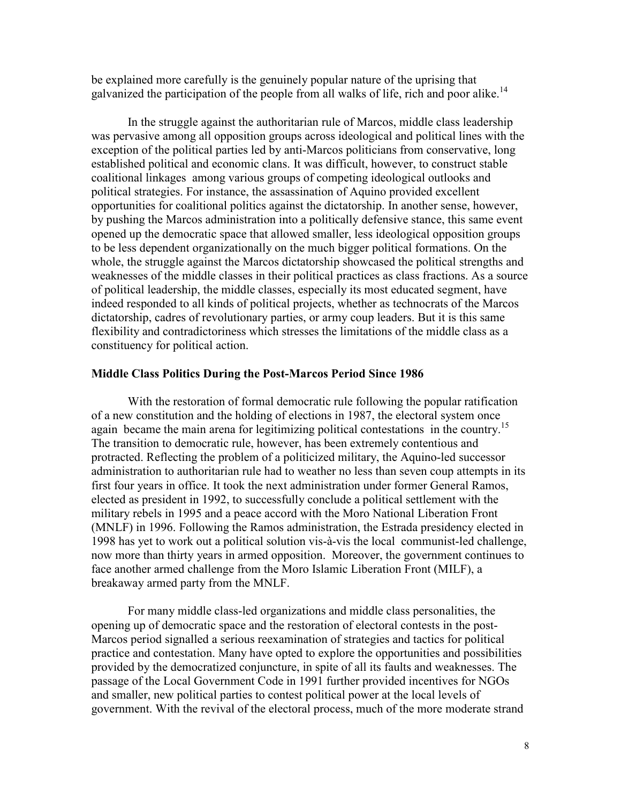be explained more carefully is the genuinely popular nature of the uprising that galvanized the participation of the people from all walks of life, rich and poor alike.<sup>14</sup>

 In the struggle against the authoritarian rule of Marcos, middle class leadership was pervasive among all opposition groups across ideological and political lines with the exception of the political parties led by anti-Marcos politicians from conservative, long established political and economic clans. It was difficult, however, to construct stable coalitional linkages among various groups of competing ideological outlooks and political strategies. For instance, the assassination of Aquino provided excellent opportunities for coalitional politics against the dictatorship. In another sense, however, by pushing the Marcos administration into a politically defensive stance, this same event opened up the democratic space that allowed smaller, less ideological opposition groups to be less dependent organizationally on the much bigger political formations. On the whole, the struggle against the Marcos dictatorship showcased the political strengths and weaknesses of the middle classes in their political practices as class fractions. As a source of political leadership, the middle classes, especially its most educated segment, have indeed responded to all kinds of political projects, whether as technocrats of the Marcos dictatorship, cadres of revolutionary parties, or army coup leaders. But it is this same flexibility and contradictoriness which stresses the limitations of the middle class as a constituency for political action.

#### **Middle Class Politics During the Post-Marcos Period Since 1986**

With the restoration of formal democratic rule following the popular ratification of a new constitution and the holding of elections in 1987, the electoral system once again became the main arena for legitimizing political contestations in the country.<sup>15</sup> The transition to democratic rule, however, has been extremely contentious and protracted. Reflecting the problem of a politicized military, the Aquino-led successor administration to authoritarian rule had to weather no less than seven coup attempts in its first four years in office. It took the next administration under former General Ramos, elected as president in 1992, to successfully conclude a political settlement with the military rebels in 1995 and a peace accord with the Moro National Liberation Front (MNLF) in 1996. Following the Ramos administration, the Estrada presidency elected in 1998 has yet to work out a political solution vis-à-vis the local communist-led challenge, now more than thirty years in armed opposition. Moreover, the government continues to face another armed challenge from the Moro Islamic Liberation Front (MILF), a breakaway armed party from the MNLF.

 For many middle class-led organizations and middle class personalities, the opening up of democratic space and the restoration of electoral contests in the post-Marcos period signalled a serious reexamination of strategies and tactics for political practice and contestation. Many have opted to explore the opportunities and possibilities provided by the democratized conjuncture, in spite of all its faults and weaknesses. The passage of the Local Government Code in 1991 further provided incentives for NGOs and smaller, new political parties to contest political power at the local levels of government. With the revival of the electoral process, much of the more moderate strand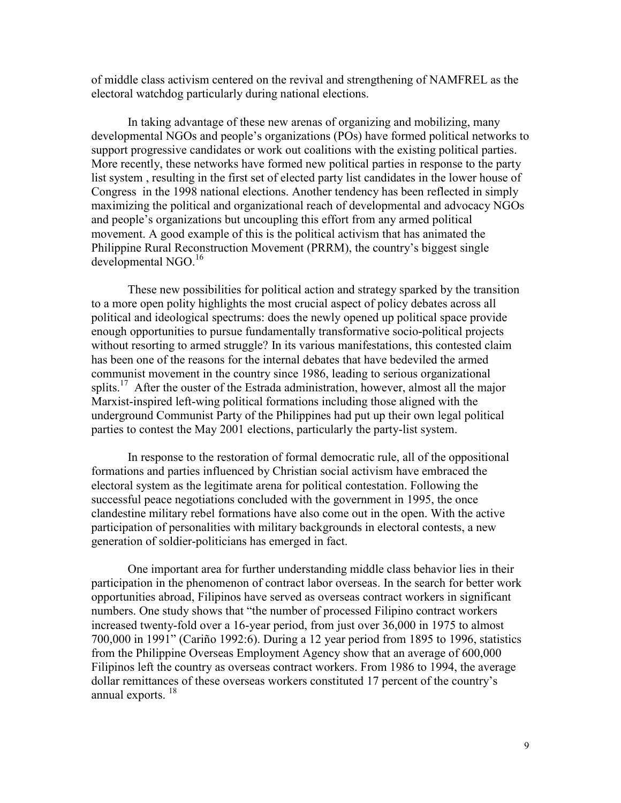of middle class activism centered on the revival and strengthening of NAMFREL as the electoral watchdog particularly during national elections.

In taking advantage of these new arenas of organizing and mobilizing, many developmental NGOs and people's organizations (POs) have formed political networks to support progressive candidates or work out coalitions with the existing political parties. More recently, these networks have formed new political parties in response to the party list system , resulting in the first set of elected party list candidates in the lower house of Congress in the 1998 national elections. Another tendency has been reflected in simply maximizing the political and organizational reach of developmental and advocacy NGOs and people's organizations but uncoupling this effort from any armed political movement. A good example of this is the political activism that has animated the Philippine Rural Reconstruction Movement (PRRM), the country's biggest single developmental NGO.<sup>16</sup>

These new possibilities for political action and strategy sparked by the transition to a more open polity highlights the most crucial aspect of policy debates across all political and ideological spectrums: does the newly opened up political space provide enough opportunities to pursue fundamentally transformative socio-political projects without resorting to armed struggle? In its various manifestations, this contested claim has been one of the reasons for the internal debates that have bedeviled the armed communist movement in the country since 1986, leading to serious organizational splits.<sup>17</sup> After the ouster of the Estrada administration, however, almost all the major Marxist-inspired left-wing political formations including those aligned with the underground Communist Party of the Philippines had put up their own legal political parties to contest the May 2001 elections, particularly the party-list system.

In response to the restoration of formal democratic rule, all of the oppositional formations and parties influenced by Christian social activism have embraced the electoral system as the legitimate arena for political contestation. Following the successful peace negotiations concluded with the government in 1995, the once clandestine military rebel formations have also come out in the open. With the active participation of personalities with military backgrounds in electoral contests, a new generation of soldier-politicians has emerged in fact.

One important area for further understanding middle class behavior lies in their participation in the phenomenon of contract labor overseas. In the search for better work opportunities abroad, Filipinos have served as overseas contract workers in significant numbers. One study shows that "the number of processed Filipino contract workers increased twenty-fold over a 16-year period, from just over 36,000 in 1975 to almost 700,000 in 1991" (Cariño 1992:6). During a 12 year period from 1895 to 1996, statistics from the Philippine Overseas Employment Agency show that an average of 600,000 Filipinos left the country as overseas contract workers. From 1986 to 1994, the average dollar remittances of these overseas workers constituted 17 percent of the country's annual exports.<sup>18</sup>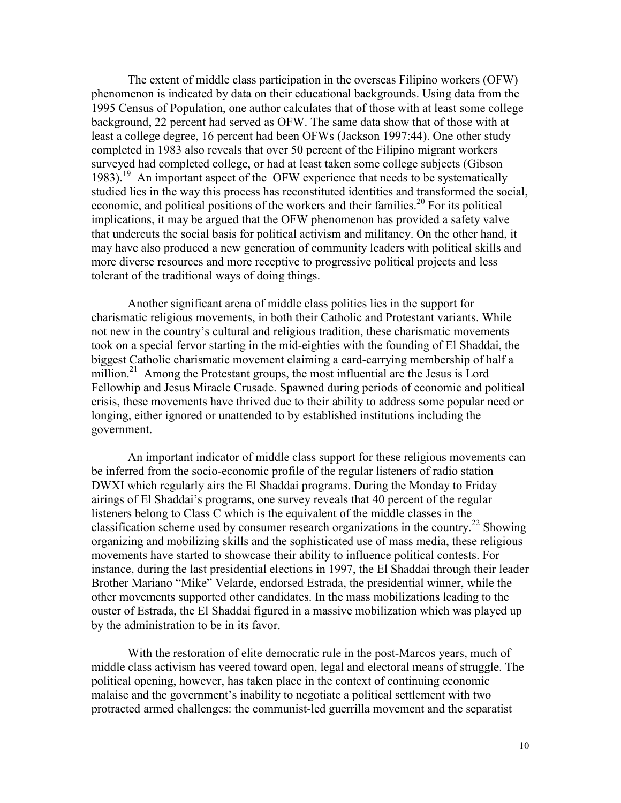The extent of middle class participation in the overseas Filipino workers (OFW) phenomenon is indicated by data on their educational backgrounds. Using data from the 1995 Census of Population, one author calculates that of those with at least some college background, 22 percent had served as OFW. The same data show that of those with at least a college degree, 16 percent had been OFWs (Jackson 1997:44). One other study completed in 1983 also reveals that over 50 percent of the Filipino migrant workers surveyed had completed college, or had at least taken some college subjects (Gibson 1983).<sup>19</sup> An important aspect of the OFW experience that needs to be systematically studied lies in the way this process has reconstituted identities and transformed the social, economic, and political positions of the workers and their families.<sup>20</sup> For its political implications, it may be argued that the OFW phenomenon has provided a safety valve that undercuts the social basis for political activism and militancy. On the other hand, it may have also produced a new generation of community leaders with political skills and more diverse resources and more receptive to progressive political projects and less tolerant of the traditional ways of doing things.

Another significant arena of middle class politics lies in the support for charismatic religious movements, in both their Catholic and Protestant variants. While not new in the country's cultural and religious tradition, these charismatic movements took on a special fervor starting in the mid-eighties with the founding of El Shaddai, the biggest Catholic charismatic movement claiming a card-carrying membership of half a million.<sup>21</sup> Among the Protestant groups, the most influential are the Jesus is Lord Fellowhip and Jesus Miracle Crusade. Spawned during periods of economic and political crisis, these movements have thrived due to their ability to address some popular need or longing, either ignored or unattended to by established institutions including the government.

An important indicator of middle class support for these religious movements can be inferred from the socio-economic profile of the regular listeners of radio station DWXI which regularly airs the El Shaddai programs. During the Monday to Friday airings of El Shaddai's programs, one survey reveals that 40 percent of the regular listeners belong to Class C which is the equivalent of the middle classes in the classification scheme used by consumer research organizations in the country.<sup>22</sup> Showing organizing and mobilizing skills and the sophisticated use of mass media, these religious movements have started to showcase their ability to influence political contests. For instance, during the last presidential elections in 1997, the El Shaddai through their leader Brother Mariano "Mike" Velarde, endorsed Estrada, the presidential winner, while the other movements supported other candidates. In the mass mobilizations leading to the ouster of Estrada, the El Shaddai figured in a massive mobilization which was played up by the administration to be in its favor.

With the restoration of elite democratic rule in the post-Marcos years, much of middle class activism has veered toward open, legal and electoral means of struggle. The political opening, however, has taken place in the context of continuing economic malaise and the government's inability to negotiate a political settlement with two protracted armed challenges: the communist-led guerrilla movement and the separatist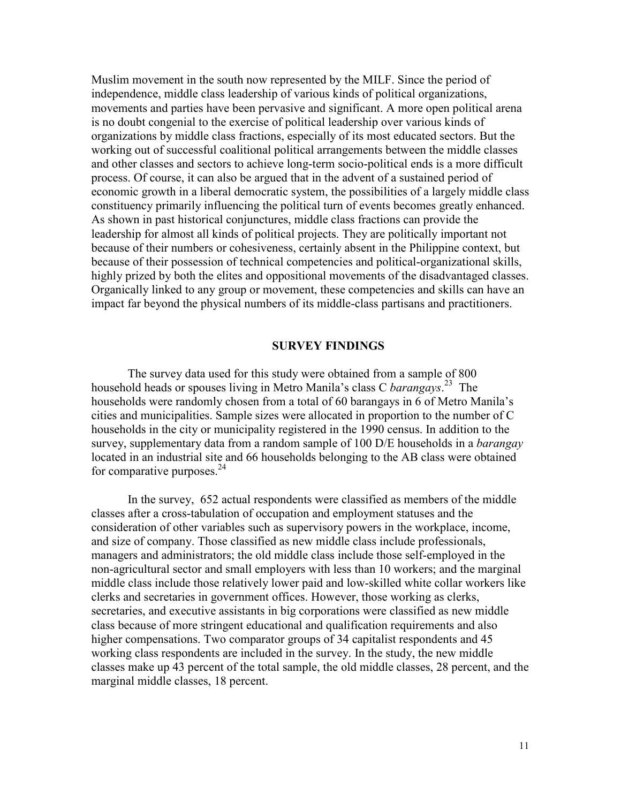Muslim movement in the south now represented by the MILF. Since the period of independence, middle class leadership of various kinds of political organizations, movements and parties have been pervasive and significant. A more open political arena is no doubt congenial to the exercise of political leadership over various kinds of organizations by middle class fractions, especially of its most educated sectors. But the working out of successful coalitional political arrangements between the middle classes and other classes and sectors to achieve long-term socio-political ends is a more difficult process. Of course, it can also be argued that in the advent of a sustained period of economic growth in a liberal democratic system, the possibilities of a largely middle class constituency primarily influencing the political turn of events becomes greatly enhanced. As shown in past historical conjunctures, middle class fractions can provide the leadership for almost all kinds of political projects. They are politically important not because of their numbers or cohesiveness, certainly absent in the Philippine context, but because of their possession of technical competencies and political-organizational skills, highly prized by both the elites and oppositional movements of the disadvantaged classes. Organically linked to any group or movement, these competencies and skills can have an impact far beyond the physical numbers of its middle-class partisans and practitioners.

#### **SURVEY FINDINGS**

The survey data used for this study were obtained from a sample of 800 household heads or spouses living in Metro Manila's class C *barangays*. <sup>23</sup> The households were randomly chosen from a total of 60 barangays in 6 of Metro Manila's cities and municipalities. Sample sizes were allocated in proportion to the number of C households in the city or municipality registered in the 1990 census. In addition to the survey, supplementary data from a random sample of 100 D/E households in a *barangay* located in an industrial site and 66 households belonging to the AB class were obtained for comparative purposes. $24$ 

In the survey, 652 actual respondents were classified as members of the middle classes after a cross-tabulation of occupation and employment statuses and the consideration of other variables such as supervisory powers in the workplace, income, and size of company. Those classified as new middle class include professionals, managers and administrators; the old middle class include those self-employed in the non-agricultural sector and small employers with less than 10 workers; and the marginal middle class include those relatively lower paid and low-skilled white collar workers like clerks and secretaries in government offices. However, those working as clerks, secretaries, and executive assistants in big corporations were classified as new middle class because of more stringent educational and qualification requirements and also higher compensations. Two comparator groups of 34 capitalist respondents and 45 working class respondents are included in the survey. In the study, the new middle classes make up 43 percent of the total sample, the old middle classes, 28 percent, and the marginal middle classes, 18 percent.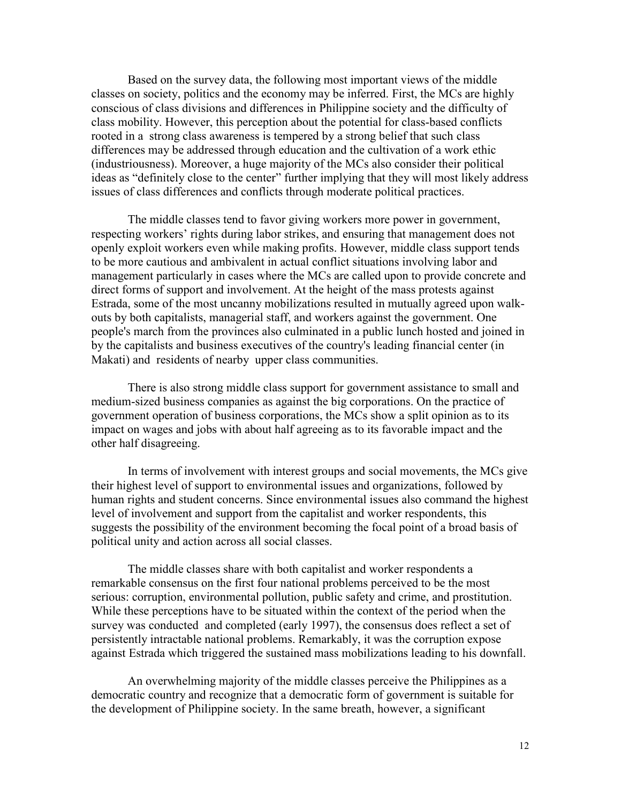Based on the survey data, the following most important views of the middle classes on society, politics and the economy may be inferred. First, the MCs are highly conscious of class divisions and differences in Philippine society and the difficulty of class mobility. However, this perception about the potential for class-based conflicts rooted in a strong class awareness is tempered by a strong belief that such class differences may be addressed through education and the cultivation of a work ethic (industriousness). Moreover, a huge majority of the MCs also consider their political ideas as "definitely close to the center" further implying that they will most likely address issues of class differences and conflicts through moderate political practices.

 The middle classes tend to favor giving workers more power in government, respecting workers' rights during labor strikes, and ensuring that management does not openly exploit workers even while making profits. However, middle class support tends to be more cautious and ambivalent in actual conflict situations involving labor and management particularly in cases where the MCs are called upon to provide concrete and direct forms of support and involvement. At the height of the mass protests against Estrada, some of the most uncanny mobilizations resulted in mutually agreed upon walkouts by both capitalists, managerial staff, and workers against the government. One people's march from the provinces also culminated in a public lunch hosted and joined in by the capitalists and business executives of the country's leading financial center (in Makati) and residents of nearby upper class communities.

There is also strong middle class support for government assistance to small and medium-sized business companies as against the big corporations. On the practice of government operation of business corporations, the MCs show a split opinion as to its impact on wages and jobs with about half agreeing as to its favorable impact and the other half disagreeing.

In terms of involvement with interest groups and social movements, the MCs give their highest level of support to environmental issues and organizations, followed by human rights and student concerns. Since environmental issues also command the highest level of involvement and support from the capitalist and worker respondents, this suggests the possibility of the environment becoming the focal point of a broad basis of political unity and action across all social classes.

The middle classes share with both capitalist and worker respondents a remarkable consensus on the first four national problems perceived to be the most serious: corruption, environmental pollution, public safety and crime, and prostitution. While these perceptions have to be situated within the context of the period when the survey was conducted and completed (early 1997), the consensus does reflect a set of persistently intractable national problems. Remarkably, it was the corruption expose against Estrada which triggered the sustained mass mobilizations leading to his downfall.

An overwhelming majority of the middle classes perceive the Philippines as a democratic country and recognize that a democratic form of government is suitable for the development of Philippine society. In the same breath, however, a significant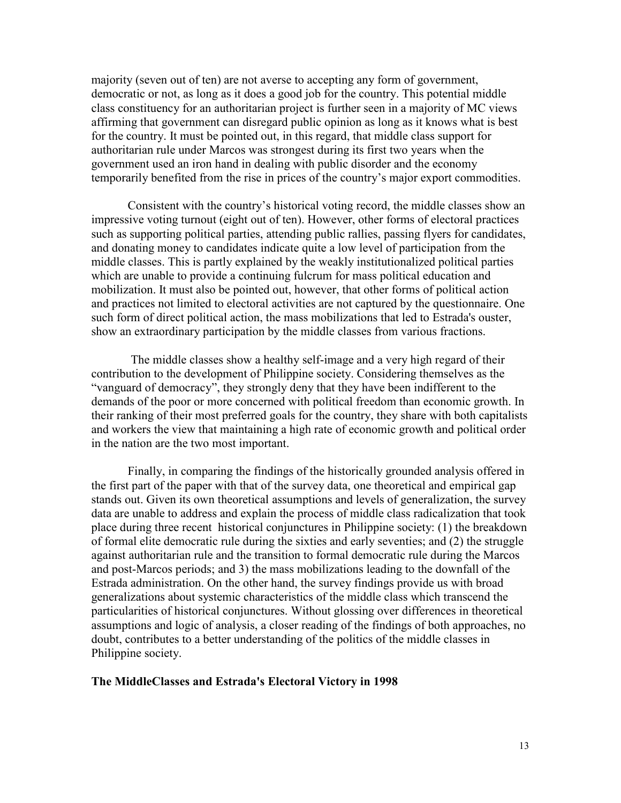majority (seven out of ten) are not averse to accepting any form of government, democratic or not, as long as it does a good job for the country. This potential middle class constituency for an authoritarian project is further seen in a majority of MC views affirming that government can disregard public opinion as long as it knows what is best for the country. It must be pointed out, in this regard, that middle class support for authoritarian rule under Marcos was strongest during its first two years when the government used an iron hand in dealing with public disorder and the economy temporarily benefited from the rise in prices of the country's major export commodities.

Consistent with the country's historical voting record, the middle classes show an impressive voting turnout (eight out of ten). However, other forms of electoral practices such as supporting political parties, attending public rallies, passing flyers for candidates, and donating money to candidates indicate quite a low level of participation from the middle classes. This is partly explained by the weakly institutionalized political parties which are unable to provide a continuing fulcrum for mass political education and mobilization. It must also be pointed out, however, that other forms of political action and practices not limited to electoral activities are not captured by the questionnaire. One such form of direct political action, the mass mobilizations that led to Estrada's ouster, show an extraordinary participation by the middle classes from various fractions.

 The middle classes show a healthy self-image and a very high regard of their contribution to the development of Philippine society. Considering themselves as the "vanguard of democracy", they strongly deny that they have been indifferent to the demands of the poor or more concerned with political freedom than economic growth. In their ranking of their most preferred goals for the country, they share with both capitalists and workers the view that maintaining a high rate of economic growth and political order in the nation are the two most important.

Finally, in comparing the findings of the historically grounded analysis offered in the first part of the paper with that of the survey data, one theoretical and empirical gap stands out. Given its own theoretical assumptions and levels of generalization, the survey data are unable to address and explain the process of middle class radicalization that took place during three recent historical conjunctures in Philippine society: (1) the breakdown of formal elite democratic rule during the sixties and early seventies; and (2) the struggle against authoritarian rule and the transition to formal democratic rule during the Marcos and post-Marcos periods; and 3) the mass mobilizations leading to the downfall of the Estrada administration. On the other hand, the survey findings provide us with broad generalizations about systemic characteristics of the middle class which transcend the particularities of historical conjunctures. Without glossing over differences in theoretical assumptions and logic of analysis, a closer reading of the findings of both approaches, no doubt, contributes to a better understanding of the politics of the middle classes in Philippine society.

# **The MiddleClasses and Estrada's Electoral Victory in 1998**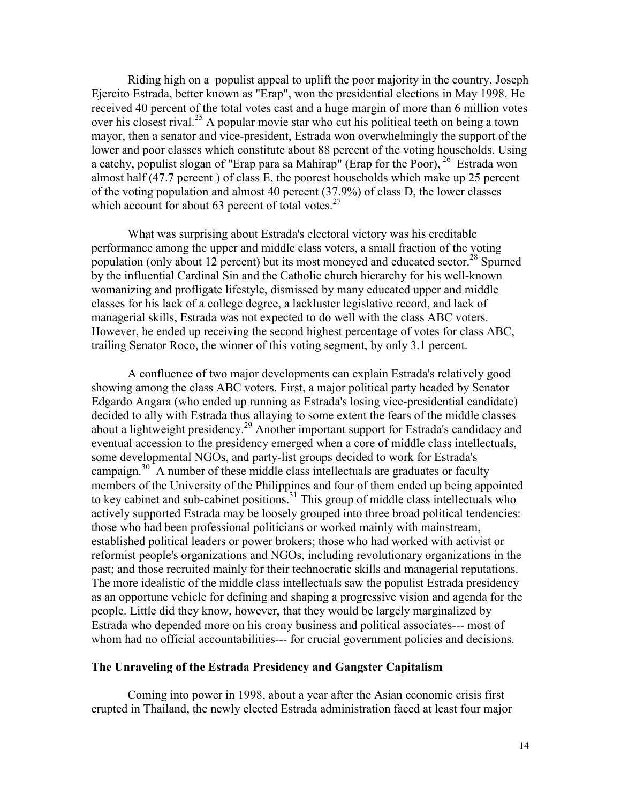Riding high on a populist appeal to uplift the poor majority in the country, Joseph Ejercito Estrada, better known as "Erap", won the presidential elections in May 1998. He received 40 percent of the total votes cast and a huge margin of more than 6 million votes over his closest rival.<sup>25</sup> A popular movie star who cut his political teeth on being a town mayor, then a senator and vice-president, Estrada won overwhelmingly the support of the lower and poor classes which constitute about 88 percent of the voting households. Using a catchy, populist slogan of "Erap para sa Mahirap" (Erap for the Poor),  $^{26}$  Estrada won almost half (47.7 percent ) of class E, the poorest households which make up 25 percent of the voting population and almost 40 percent (37.9%) of class D, the lower classes which account for about 63 percent of total votes. $27$ 

What was surprising about Estrada's electoral victory was his creditable performance among the upper and middle class voters, a small fraction of the voting population (only about 12 percent) but its most moneyed and educated sector.<sup>28</sup> Spurned by the influential Cardinal Sin and the Catholic church hierarchy for his well-known womanizing and profligate lifestyle, dismissed by many educated upper and middle classes for his lack of a college degree, a lackluster legislative record, and lack of managerial skills, Estrada was not expected to do well with the class ABC voters. However, he ended up receiving the second highest percentage of votes for class ABC, trailing Senator Roco, the winner of this voting segment, by only 3.1 percent.

A confluence of two major developments can explain Estrada's relatively good showing among the class ABC voters. First, a major political party headed by Senator Edgardo Angara (who ended up running as Estrada's losing vice-presidential candidate) decided to ally with Estrada thus allaying to some extent the fears of the middle classes about a lightweight presidency.<sup>29</sup> Another important support for Estrada's candidacy and eventual accession to the presidency emerged when a core of middle class intellectuals, some developmental NGOs, and party-list groups decided to work for Estrada's campaign. $30^{\circ}$  A number of these middle class intellectuals are graduates or faculty members of the University of the Philippines and four of them ended up being appointed to key cabinet and sub-cabinet positions.<sup>31</sup> This group of middle class intellectuals who actively supported Estrada may be loosely grouped into three broad political tendencies: those who had been professional politicians or worked mainly with mainstream, established political leaders or power brokers; those who had worked with activist or reformist people's organizations and NGOs, including revolutionary organizations in the past; and those recruited mainly for their technocratic skills and managerial reputations. The more idealistic of the middle class intellectuals saw the populist Estrada presidency as an opportune vehicle for defining and shaping a progressive vision and agenda for the people. Little did they know, however, that they would be largely marginalized by Estrada who depended more on his crony business and political associates--- most of whom had no official accountabilities--- for crucial government policies and decisions.

#### **The Unraveling of the Estrada Presidency and Gangster Capitalism**

Coming into power in 1998, about a year after the Asian economic crisis first erupted in Thailand, the newly elected Estrada administration faced at least four major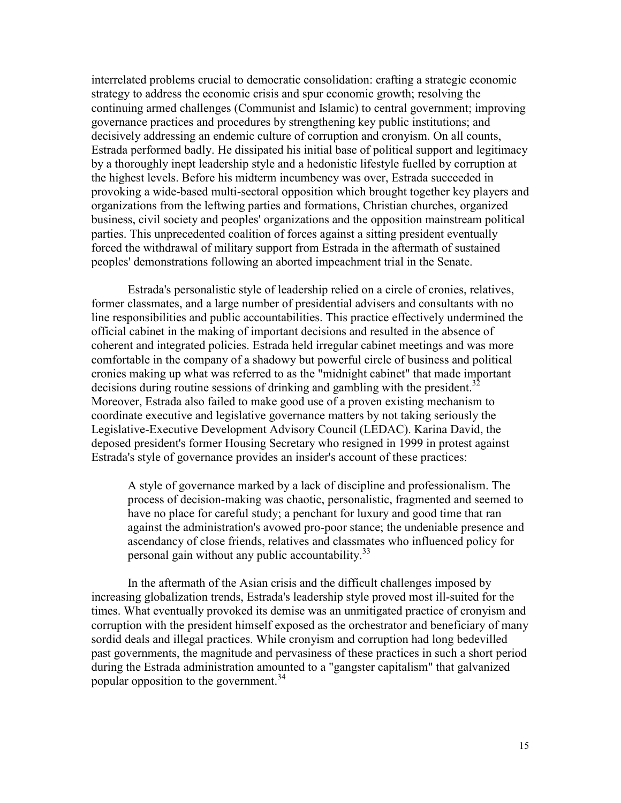interrelated problems crucial to democratic consolidation: crafting a strategic economic strategy to address the economic crisis and spur economic growth; resolving the continuing armed challenges (Communist and Islamic) to central government; improving governance practices and procedures by strengthening key public institutions; and decisively addressing an endemic culture of corruption and cronyism. On all counts, Estrada performed badly. He dissipated his initial base of political support and legitimacy by a thoroughly inept leadership style and a hedonistic lifestyle fuelled by corruption at the highest levels. Before his midterm incumbency was over, Estrada succeeded in provoking a wide-based multi-sectoral opposition which brought together key players and organizations from the leftwing parties and formations, Christian churches, organized business, civil society and peoples' organizations and the opposition mainstream political parties. This unprecedented coalition of forces against a sitting president eventually forced the withdrawal of military support from Estrada in the aftermath of sustained peoples' demonstrations following an aborted impeachment trial in the Senate.

 Estrada's personalistic style of leadership relied on a circle of cronies, relatives, former classmates, and a large number of presidential advisers and consultants with no line responsibilities and public accountabilities. This practice effectively undermined the official cabinet in the making of important decisions and resulted in the absence of coherent and integrated policies. Estrada held irregular cabinet meetings and was more comfortable in the company of a shadowy but powerful circle of business and political cronies making up what was referred to as the "midnight cabinet" that made important decisions during routine sessions of drinking and gambling with the president.<sup>32</sup> Moreover, Estrada also failed to make good use of a proven existing mechanism to coordinate executive and legislative governance matters by not taking seriously the Legislative-Executive Development Advisory Council (LEDAC). Karina David, the deposed president's former Housing Secretary who resigned in 1999 in protest against Estrada's style of governance provides an insider's account of these practices:

 A style of governance marked by a lack of discipline and professionalism. The process of decision-making was chaotic, personalistic, fragmented and seemed to have no place for careful study; a penchant for luxury and good time that ran against the administration's avowed pro-poor stance; the undeniable presence and ascendancy of close friends, relatives and classmates who influenced policy for personal gain without any public accountability.<sup>33</sup>

In the aftermath of the Asian crisis and the difficult challenges imposed by increasing globalization trends, Estrada's leadership style proved most ill-suited for the times. What eventually provoked its demise was an unmitigated practice of cronyism and corruption with the president himself exposed as the orchestrator and beneficiary of many sordid deals and illegal practices. While cronyism and corruption had long bedevilled past governments, the magnitude and pervasiness of these practices in such a short period during the Estrada administration amounted to a "gangster capitalism" that galvanized popular opposition to the government.<sup>34</sup>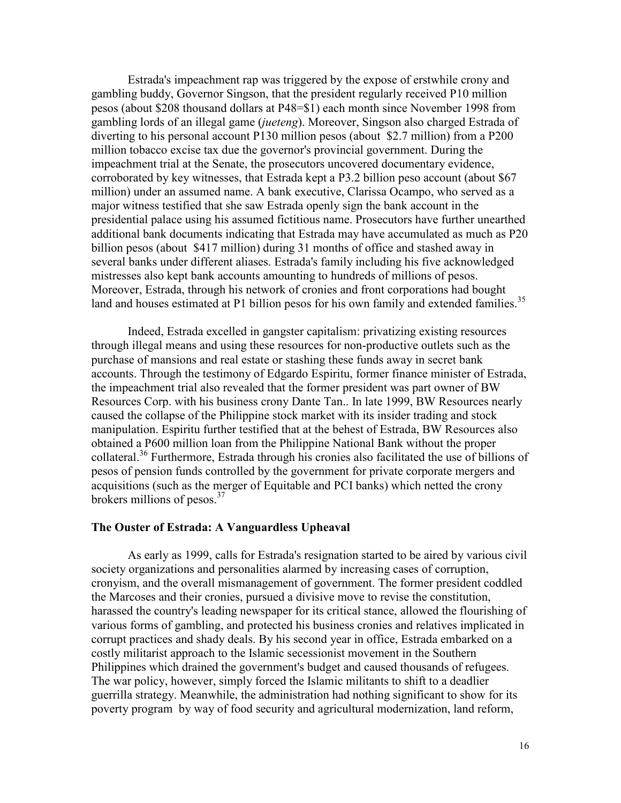Estrada's impeachment rap was triggered by the expose of erstwhile crony and gambling buddy, Governor Singson, that the president regularly received P10 million pesos (about \$208 thousand dollars at P48=\$1) each month since November 1998 from gambling lords of an illegal game (*jueteng*). Moreover, Singson also charged Estrada of diverting to his personal account P130 million pesos (about \$2.7 million) from a P200 million tobacco excise tax due the governor's provincial government. During the impeachment trial at the Senate, the prosecutors uncovered documentary evidence, corroborated by key witnesses, that Estrada kept a P3.2 billion peso account (about \$67 million) under an assumed name. A bank executive, Clarissa Ocampo, who served as a major witness testified that she saw Estrada openly sign the bank account in the presidential palace using his assumed fictitious name. Prosecutors have further unearthed additional bank documents indicating that Estrada may have accumulated as much as P20 billion pesos (about \$417 million) during 31 months of office and stashed away in several banks under different aliases. Estrada's family including his five acknowledged mistresses also kept bank accounts amounting to hundreds of millions of pesos. Moreover, Estrada, through his network of cronies and front corporations had bought land and houses estimated at P1 billion pesos for his own family and extended families.<sup>35</sup>

Indeed, Estrada excelled in gangster capitalism: privatizing existing resources through illegal means and using these resources for non-productive outlets such as the purchase of mansions and real estate or stashing these funds away in secret bank accounts. Through the testimony of Edgardo Espiritu, former finance minister of Estrada, the impeachment trial also revealed that the former president was part owner of BW Resources Corp. with his business crony Dante Tan.. In late 1999, BW Resources nearly caused the collapse of the Philippine stock market with its insider trading and stock manipulation. Espiritu further testified that at the behest of Estrada, BW Resources also obtained a P600 million loan from the Philippine National Bank without the proper collateral.<sup>36</sup> Furthermore, Estrada through his cronies also facilitated the use of billions of pesos of pension funds controlled by the government for private corporate mergers and acquisitions (such as the merger of Equitable and PCI banks) which netted the crony brokers millions of pesos.<sup>37</sup>

#### **The Ouster of Estrada: A Vanguardless Upheaval**

As early as 1999, calls for Estrada's resignation started to be aired by various civil society organizations and personalities alarmed by increasing cases of corruption, cronyism, and the overall mismanagement of government. The former president coddled the Marcoses and their cronies, pursued a divisive move to revise the constitution, harassed the country's leading newspaper for its critical stance, allowed the flourishing of various forms of gambling, and protected his business cronies and relatives implicated in corrupt practices and shady deals. By his second year in office, Estrada embarked on a costly militarist approach to the Islamic secessionist movement in the Southern Philippines which drained the government's budget and caused thousands of refugees. The war policy, however, simply forced the Islamic militants to shift to a deadlier guerrilla strategy. Meanwhile, the administration had nothing significant to show for its poverty program by way of food security and agricultural modernization, land reform,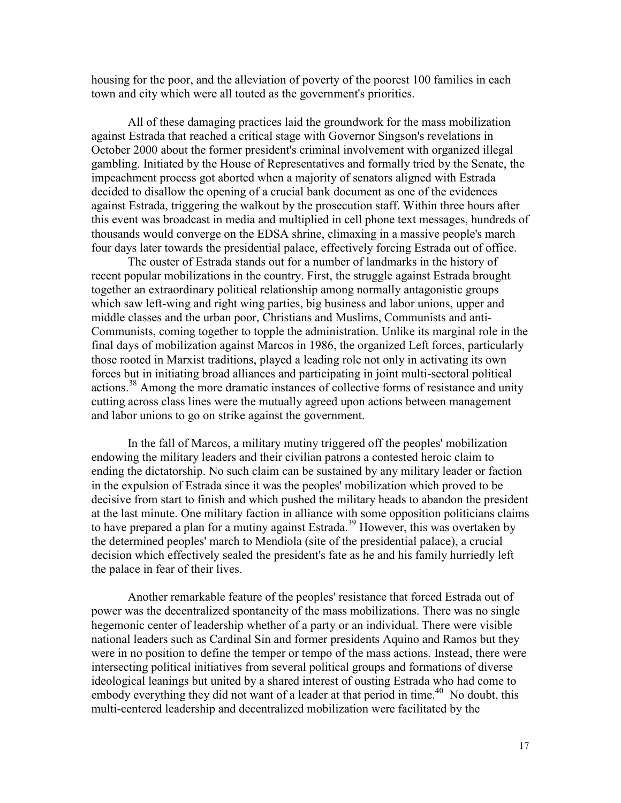housing for the poor, and the alleviation of poverty of the poorest 100 families in each town and city which were all touted as the government's priorities.

All of these damaging practices laid the groundwork for the mass mobilization against Estrada that reached a critical stage with Governor Singson's revelations in October 2000 about the former president's criminal involvement with organized illegal gambling. Initiated by the House of Representatives and formally tried by the Senate, the impeachment process got aborted when a majority of senators aligned with Estrada decided to disallow the opening of a crucial bank document as one of the evidences against Estrada, triggering the walkout by the prosecution staff. Within three hours after this event was broadcast in media and multiplied in cell phone text messages, hundreds of thousands would converge on the EDSA shrine, climaxing in a massive people's march four days later towards the presidential palace, effectively forcing Estrada out of office.

The ouster of Estrada stands out for a number of landmarks in the history of recent popular mobilizations in the country. First, the struggle against Estrada brought together an extraordinary political relationship among normally antagonistic groups which saw left-wing and right wing parties, big business and labor unions, upper and middle classes and the urban poor, Christians and Muslims, Communists and anti-Communists, coming together to topple the administration. Unlike its marginal role in the final days of mobilization against Marcos in 1986, the organized Left forces, particularly those rooted in Marxist traditions, played a leading role not only in activating its own forces but in initiating broad alliances and participating in joint multi-sectoral political actions.<sup>38</sup> Among the more dramatic instances of collective forms of resistance and unity cutting across class lines were the mutually agreed upon actions between management and labor unions to go on strike against the government.

In the fall of Marcos, a military mutiny triggered off the peoples' mobilization endowing the military leaders and their civilian patrons a contested heroic claim to ending the dictatorship. No such claim can be sustained by any military leader or faction in the expulsion of Estrada since it was the peoples' mobilization which proved to be decisive from start to finish and which pushed the military heads to abandon the president at the last minute. One military faction in alliance with some opposition politicians claims to have prepared a plan for a mutiny against Estrada.<sup>39</sup> However, this was overtaken by the determined peoples' march to Mendiola (site of the presidential palace), a crucial decision which effectively sealed the president's fate as he and his family hurriedly left the palace in fear of their lives.

Another remarkable feature of the peoples' resistance that forced Estrada out of power was the decentralized spontaneity of the mass mobilizations. There was no single hegemonic center of leadership whether of a party or an individual. There were visible national leaders such as Cardinal Sin and former presidents Aquino and Ramos but they were in no position to define the temper or tempo of the mass actions. Instead, there were intersecting political initiatives from several political groups and formations of diverse ideological leanings but united by a shared interest of ousting Estrada who had come to embody everything they did not want of a leader at that period in time.<sup>40</sup> No doubt, this multi-centered leadership and decentralized mobilization were facilitated by the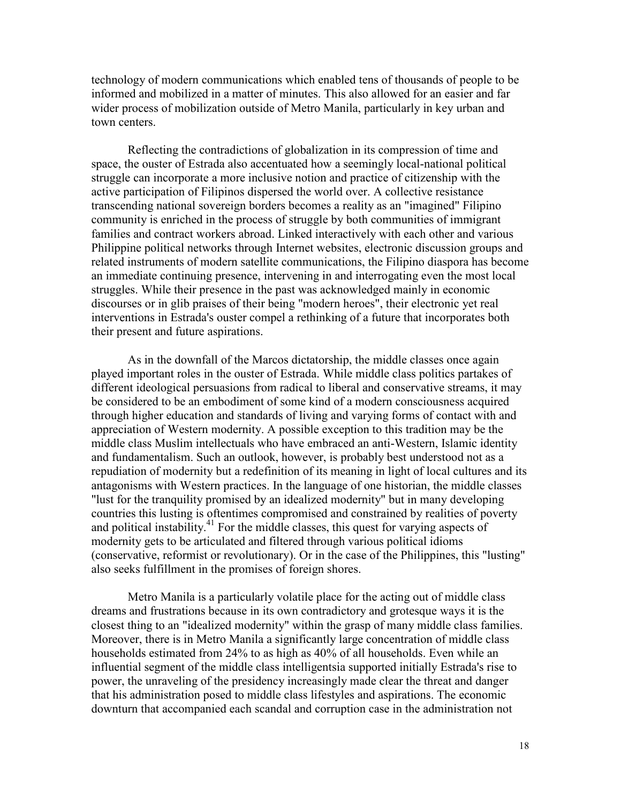technology of modern communications which enabled tens of thousands of people to be informed and mobilized in a matter of minutes. This also allowed for an easier and far wider process of mobilization outside of Metro Manila, particularly in key urban and town centers.

Reflecting the contradictions of globalization in its compression of time and space, the ouster of Estrada also accentuated how a seemingly local-national political struggle can incorporate a more inclusive notion and practice of citizenship with the active participation of Filipinos dispersed the world over. A collective resistance transcending national sovereign borders becomes a reality as an "imagined" Filipino community is enriched in the process of struggle by both communities of immigrant families and contract workers abroad. Linked interactively with each other and various Philippine political networks through Internet websites, electronic discussion groups and related instruments of modern satellite communications, the Filipino diaspora has become an immediate continuing presence, intervening in and interrogating even the most local struggles. While their presence in the past was acknowledged mainly in economic discourses or in glib praises of their being "modern heroes", their electronic yet real interventions in Estrada's ouster compel a rethinking of a future that incorporates both their present and future aspirations.

As in the downfall of the Marcos dictatorship, the middle classes once again played important roles in the ouster of Estrada. While middle class politics partakes of different ideological persuasions from radical to liberal and conservative streams, it may be considered to be an embodiment of some kind of a modern consciousness acquired through higher education and standards of living and varying forms of contact with and appreciation of Western modernity. A possible exception to this tradition may be the middle class Muslim intellectuals who have embraced an anti-Western, Islamic identity and fundamentalism. Such an outlook, however, is probably best understood not as a repudiation of modernity but a redefinition of its meaning in light of local cultures and its antagonisms with Western practices. In the language of one historian, the middle classes "lust for the tranquility promised by an idealized modernity" but in many developing countries this lusting is oftentimes compromised and constrained by realities of poverty and political instability.<sup>41</sup> For the middle classes, this quest for varying aspects of modernity gets to be articulated and filtered through various political idioms (conservative, reformist or revolutionary). Or in the case of the Philippines, this "lusting" also seeks fulfillment in the promises of foreign shores.

Metro Manila is a particularly volatile place for the acting out of middle class dreams and frustrations because in its own contradictory and grotesque ways it is the closest thing to an "idealized modernity" within the grasp of many middle class families. Moreover, there is in Metro Manila a significantly large concentration of middle class households estimated from 24% to as high as 40% of all households. Even while an influential segment of the middle class intelligentsia supported initially Estrada's rise to power, the unraveling of the presidency increasingly made clear the threat and danger that his administration posed to middle class lifestyles and aspirations. The economic downturn that accompanied each scandal and corruption case in the administration not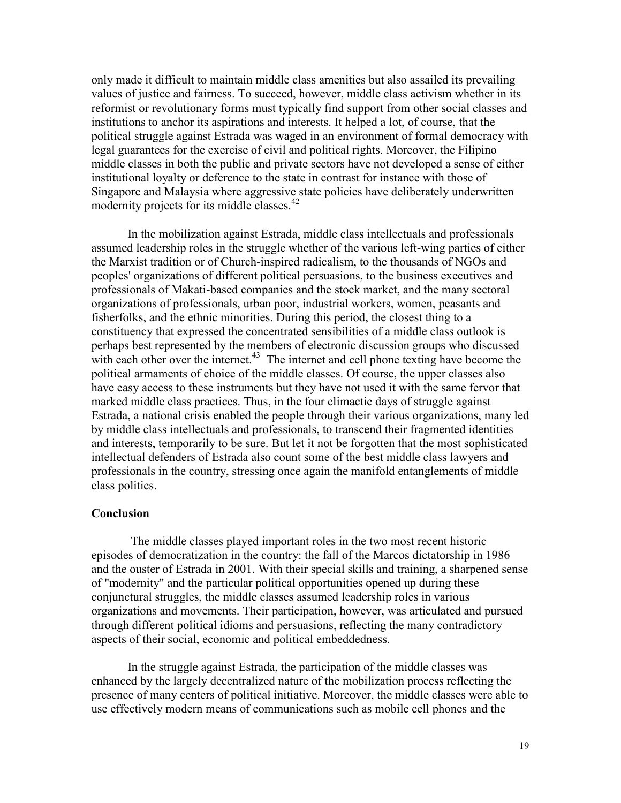only made it difficult to maintain middle class amenities but also assailed its prevailing values of justice and fairness. To succeed, however, middle class activism whether in its reformist or revolutionary forms must typically find support from other social classes and institutions to anchor its aspirations and interests. It helped a lot, of course, that the political struggle against Estrada was waged in an environment of formal democracy with legal guarantees for the exercise of civil and political rights. Moreover, the Filipino middle classes in both the public and private sectors have not developed a sense of either institutional loyalty or deference to the state in contrast for instance with those of Singapore and Malaysia where aggressive state policies have deliberately underwritten modernity projects for its middle classes.<sup>42</sup>

In the mobilization against Estrada, middle class intellectuals and professionals assumed leadership roles in the struggle whether of the various left-wing parties of either the Marxist tradition or of Church-inspired radicalism, to the thousands of NGOs and peoples' organizations of different political persuasions, to the business executives and professionals of Makati-based companies and the stock market, and the many sectoral organizations of professionals, urban poor, industrial workers, women, peasants and fisherfolks, and the ethnic minorities. During this period, the closest thing to a constituency that expressed the concentrated sensibilities of a middle class outlook is perhaps best represented by the members of electronic discussion groups who discussed with each other over the internet. $43$  The internet and cell phone texting have become the political armaments of choice of the middle classes. Of course, the upper classes also have easy access to these instruments but they have not used it with the same fervor that marked middle class practices. Thus, in the four climactic days of struggle against Estrada, a national crisis enabled the people through their various organizations, many led by middle class intellectuals and professionals, to transcend their fragmented identities and interests, temporarily to be sure. But let it not be forgotten that the most sophisticated intellectual defenders of Estrada also count some of the best middle class lawyers and professionals in the country, stressing once again the manifold entanglements of middle class politics.

## **Conclusion**

 The middle classes played important roles in the two most recent historic episodes of democratization in the country: the fall of the Marcos dictatorship in 1986 and the ouster of Estrada in 2001. With their special skills and training, a sharpened sense of "modernity" and the particular political opportunities opened up during these conjunctural struggles, the middle classes assumed leadership roles in various organizations and movements. Their participation, however, was articulated and pursued through different political idioms and persuasions, reflecting the many contradictory aspects of their social, economic and political embeddedness.

 In the struggle against Estrada, the participation of the middle classes was enhanced by the largely decentralized nature of the mobilization process reflecting the presence of many centers of political initiative. Moreover, the middle classes were able to use effectively modern means of communications such as mobile cell phones and the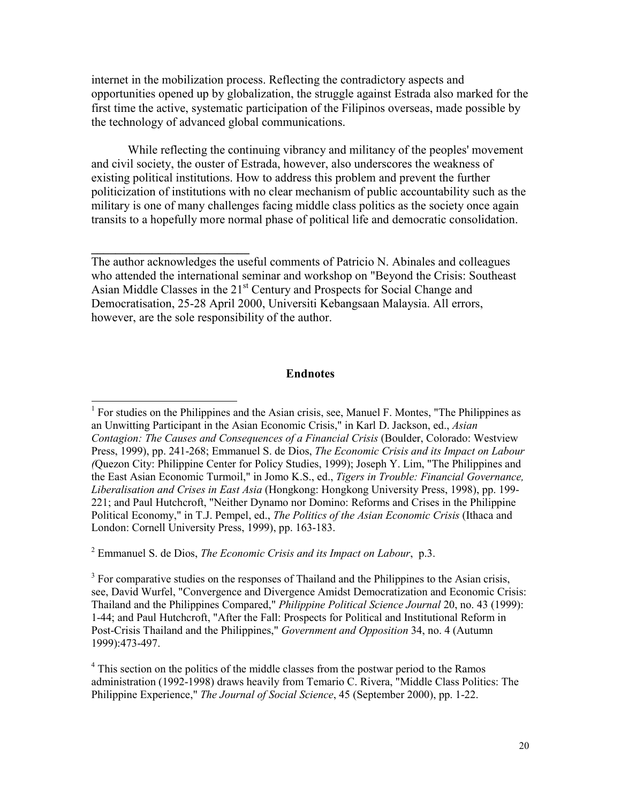internet in the mobilization process. Reflecting the contradictory aspects and opportunities opened up by globalization, the struggle against Estrada also marked for the first time the active, systematic participation of the Filipinos overseas, made possible by the technology of advanced global communications.

 While reflecting the continuing vibrancy and militancy of the peoples' movement and civil society, the ouster of Estrada, however, also underscores the weakness of existing political institutions. How to address this problem and prevent the further politicization of institutions with no clear mechanism of public accountability such as the military is one of many challenges facing middle class politics as the society once again transits to a hopefully more normal phase of political life and democratic consolidation.

The author acknowledges the useful comments of Patricio N. Abinales and colleagues who attended the international seminar and workshop on "Beyond the Crisis: Southeast Asian Middle Classes in the 21<sup>st</sup> Century and Prospects for Social Change and Democratisation, 25-28 April 2000, Universiti Kebangsaan Malaysia. All errors, however, are the sole responsibility of the author.

**\_\_\_\_\_\_\_\_\_\_\_\_\_\_\_\_\_\_\_\_\_\_\_\_\_\_** 

## **Endnotes**

<sup>1</sup> For studies on the Philippines and the Asian crisis, see, Manuel F. Montes, "The Philippines as an Unwitting Participant in the Asian Economic Crisis," in Karl D. Jackson, ed., *Asian Contagion: The Causes and Consequences of a Financial Crisis* (Boulder, Colorado: Westview Press, 1999), pp. 241-268; Emmanuel S. de Dios, *The Economic Crisis and its Impact on Labour (*Quezon City: Philippine Center for Policy Studies, 1999); Joseph Y. Lim, "The Philippines and the East Asian Economic Turmoil," in Jomo K.S., ed., *Tigers in Trouble: Financial Governance, Liberalisation and Crises in East Asia* (Hongkong: Hongkong University Press, 1998), pp. 199- 221; and Paul Hutchcroft, "Neither Dynamo nor Domino: Reforms and Crises in the Philippine Political Economy," in T.J. Pempel, ed., *The Politics of the Asian Economic Crisis* (Ithaca and London: Cornell University Press, 1999), pp. 163-183.

2 Emmanuel S. de Dios, *The Economic Crisis and its Impact on Labour*, p.3.

 $3$  For comparative studies on the responses of Thailand and the Philippines to the Asian crisis, see, David Wurfel, "Convergence and Divergence Amidst Democratization and Economic Crisis: Thailand and the Philippines Compared," *Philippine Political Science Journal* 20, no. 43 (1999): 1-44; and Paul Hutchcroft, "After the Fall: Prospects for Political and Institutional Reform in Post-Crisis Thailand and the Philippines," *Government and Opposition* 34, no. 4 (Autumn 1999):473-497.

<sup>4</sup> This section on the politics of the middle classes from the postwar period to the Ramos administration (1992-1998) draws heavily from Temario C. Rivera, "Middle Class Politics: The Philippine Experience," *The Journal of Social Science*, 45 (September 2000), pp. 1-22.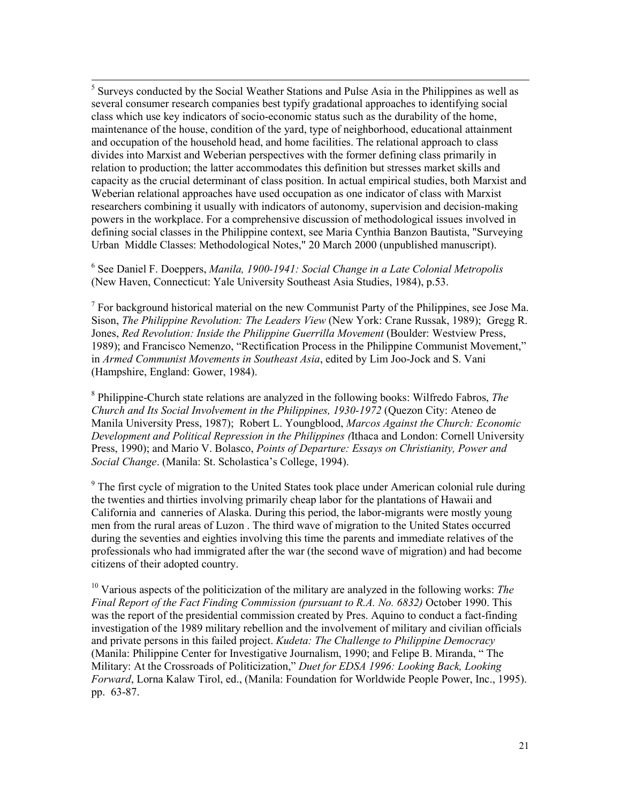<sup>5</sup> Surveys conducted by the Social Weather Stations and Pulse Asia in the Philippines as well as several consumer research companies best typify gradational approaches to identifying social class which use key indicators of socio-economic status such as the durability of the home, maintenance of the house, condition of the yard, type of neighborhood, educational attainment and occupation of the household head, and home facilities. The relational approach to class divides into Marxist and Weberian perspectives with the former defining class primarily in relation to production; the latter accommodates this definition but stresses market skills and capacity as the crucial determinant of class position. In actual empirical studies, both Marxist and Weberian relational approaches have used occupation as one indicator of class with Marxist researchers combining it usually with indicators of autonomy, supervision and decision-making powers in the workplace. For a comprehensive discussion of methodological issues involved in defining social classes in the Philippine context, see Maria Cynthia Banzon Bautista, "Surveying Urban Middle Classes: Methodological Notes," 20 March 2000 (unpublished manuscript).

6 See Daniel F. Doeppers, *Manila, 1900-1941: Social Change in a Late Colonial Metropolis* (New Haven, Connecticut: Yale University Southeast Asia Studies, 1984), p.53.

 $<sup>7</sup>$  For background historical material on the new Communist Party of the Philippines, see Jose Ma.</sup> Sison, *The Philippine Revolution: The Leaders View* (New York: Crane Russak, 1989); Gregg R. Jones, *Red Revolution: Inside the Philippine Guerrilla Movement* (Boulder: Westview Press, 1989); and Francisco Nemenzo, "Rectification Process in the Philippine Communist Movement," in *Armed Communist Movements in Southeast Asia*, edited by Lim Joo-Jock and S. Vani (Hampshire, England: Gower, 1984).

8 Philippine-Church state relations are analyzed in the following books: Wilfredo Fabros, *The Church and Its Social Involvement in the Philippines, 1930-1972* (Quezon City: Ateneo de Manila University Press, 1987); Robert L. Youngblood, *Marcos Against the Church: Economic Development and Political Repression in the Philippines (*Ithaca and London: Cornell University Press, 1990); and Mario V. Bolasco, *Points of Departure: Essays on Christianity, Power and Social Change*. (Manila: St. Scholastica's College, 1994).

<sup>9</sup> The first cycle of migration to the United States took place under American colonial rule during the twenties and thirties involving primarily cheap labor for the plantations of Hawaii and California and canneries of Alaska. During this period, the labor-migrants were mostly young men from the rural areas of Luzon . The third wave of migration to the United States occurred during the seventies and eighties involving this time the parents and immediate relatives of the professionals who had immigrated after the war (the second wave of migration) and had become citizens of their adopted country.

<sup>10</sup> Various aspects of the politicization of the military are analyzed in the following works: *The Final Report of the Fact Finding Commission (pursuant to R.A. No. 6832)* October 1990. This was the report of the presidential commission created by Pres. Aquino to conduct a fact-finding investigation of the 1989 military rebellion and the involvement of military and civilian officials and private persons in this failed project. *Kudeta: The Challenge to Philippine Democracy* (Manila: Philippine Center for Investigative Journalism, 1990; and Felipe B. Miranda, " The Military: At the Crossroads of Politicization," *Duet for EDSA 1996: Looking Back, Looking Forward*, Lorna Kalaw Tirol, ed., (Manila: Foundation for Worldwide People Power, Inc., 1995). pp. 63-87.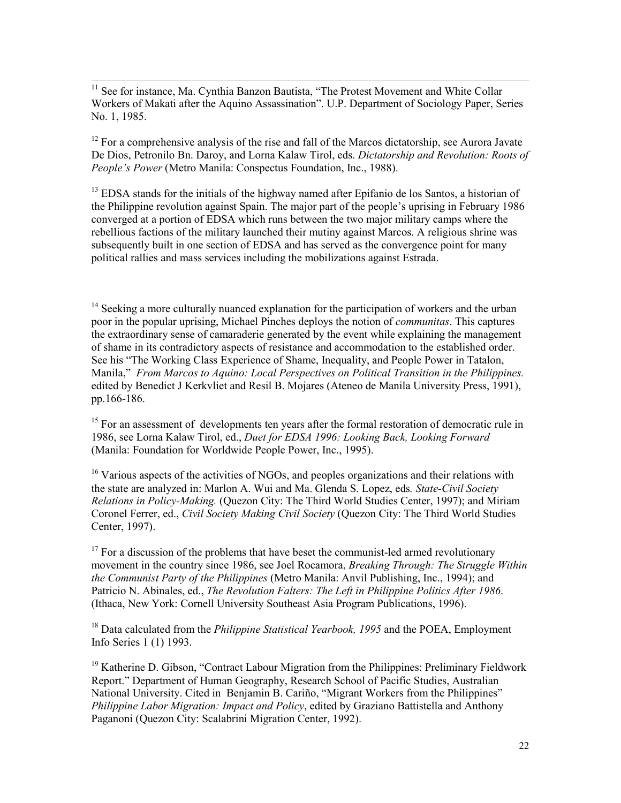<sup>11</sup> See for instance, Ma. Cynthia Banzon Bautista, "The Protest Movement and White Collar Workers of Makati after the Aquino Assassination". U.P. Department of Sociology Paper, Series No. 1, 1985.

 $\overline{a}$ 

 $12$  For a comprehensive analysis of the rise and fall of the Marcos dictatorship, see Aurora Javate De Dios, Petronilo Bn. Daroy, and Lorna Kalaw Tirol, eds. *Dictatorship and Revolution: Roots of People's Power* (Metro Manila: Conspectus Foundation, Inc., 1988).

<sup>13</sup> EDSA stands for the initials of the highway named after Epifanio de los Santos, a historian of the Philippine revolution against Spain. The major part of the people's uprising in February 1986 converged at a portion of EDSA which runs between the two major military camps where the rebellious factions of the military launched their mutiny against Marcos. A religious shrine was subsequently built in one section of EDSA and has served as the convergence point for many political rallies and mass services including the mobilizations against Estrada.

 $14$  Seeking a more culturally nuanced explanation for the participation of workers and the urban poor in the popular uprising, Michael Pinches deploys the notion of *communitas*. This captures the extraordinary sense of camaraderie generated by the event while explaining the management of shame in its contradictory aspects of resistance and accommodation to the established order. See his "The Working Class Experience of Shame, Inequality, and People Power in Tatalon, Manila," *From Marcos to Aquino: Local Perspectives on Political Transition in the Philippines.*  edited by Benedict J Kerkvliet and Resil B. Mojares (Ateneo de Manila University Press, 1991), pp.166-186.

<sup>15</sup> For an assessment of developments ten years after the formal restoration of democratic rule in 1986, see Lorna Kalaw Tirol, ed., *Duet for EDSA 1996: Looking Back, Looking Forward* (Manila: Foundation for Worldwide People Power, Inc., 1995).

<sup>16</sup> Various aspects of the activities of NGOs, and peoples organizations and their relations with the state are analyzed in: Marlon A. Wui and Ma. Glenda S. Lopez, eds*. State-Civil Society Relations in Policy-Making.* (Quezon City: The Third World Studies Center, 1997); and Miriam Coronel Ferrer, ed., *Civil Society Making Civil Society* (Quezon City: The Third World Studies Center, 1997).

 $17$  For a discussion of the problems that have beset the communist-led armed revolutionary movement in the country since 1986, see Joel Rocamora, *Breaking Through: The Struggle Within the Communist Party of the Philippines* (Metro Manila: Anvil Publishing, Inc., 1994); and Patricio N. Abinales, ed., *The Revolution Falters: The Left in Philippine Politics After 1986*. (Ithaca, New York: Cornell University Southeast Asia Program Publications, 1996).

<sup>18</sup> Data calculated from the *Philippine Statistical Yearbook, 1995* and the POEA, Employment Info Series 1 (1) 1993.

<sup>19</sup> Katherine D. Gibson, "Contract Labour Migration from the Philippines: Preliminary Fieldwork Report." Department of Human Geography, Research School of Pacific Studies, Australian National University. Cited in Benjamin B. Cariño, "Migrant Workers from the Philippines" *Philippine Labor Migration: Impact and Policy*, edited by Graziano Battistella and Anthony Paganoni (Quezon City: Scalabrini Migration Center, 1992).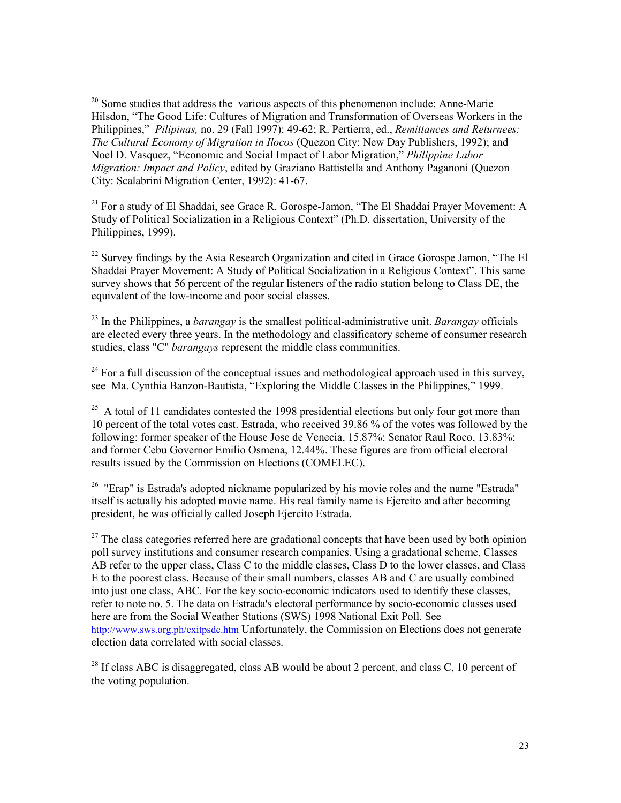$20$  Some studies that address the various aspects of this phenomenon include: Anne-Marie Hilsdon, "The Good Life: Cultures of Migration and Transformation of Overseas Workers in the Philippines," *Pilipinas,* no. 29 (Fall 1997): 49-62; R. Pertierra, ed., *Remittances and Returnees: The Cultural Economy of Migration in Ilocos* (Quezon City: New Day Publishers, 1992); and Noel D. Vasquez, "Economic and Social Impact of Labor Migration," *Philippine Labor Migration: Impact and Policy*, edited by Graziano Battistella and Anthony Paganoni (Quezon City: Scalabrini Migration Center, 1992): 41-67.

 $\overline{a}$ 

 $21$  For a study of El Shaddai, see Grace R. Gorospe-Jamon, "The El Shaddai Prayer Movement: A Study of Political Socialization in a Religious Context" (Ph.D. dissertation, University of the Philippines, 1999).

 $^{22}$  Survey findings by the Asia Research Organization and cited in Grace Gorospe Jamon, "The El Shaddai Prayer Movement: A Study of Political Socialization in a Religious Context". This same survey shows that 56 percent of the regular listeners of the radio station belong to Class DE, the equivalent of the low-income and poor social classes.

<sup>23</sup> In the Philippines, a *barangay* is the smallest political-administrative unit. *Barangay* officials are elected every three years. In the methodology and classificatory scheme of consumer research studies, class "C" *barangays* represent the middle class communities.

 $^{24}$  For a full discussion of the conceptual issues and methodological approach used in this survey, see Ma. Cynthia Banzon-Bautista, "Exploring the Middle Classes in the Philippines," 1999.

 $^{25}$  A total of 11 candidates contested the 1998 presidential elections but only four got more than 10 percent of the total votes cast. Estrada, who received 39.86 % of the votes was followed by the following: former speaker of the House Jose de Venecia, 15.87%; Senator Raul Roco, 13.83%; and former Cebu Governor Emilio Osmena, 12.44%. These figures are from official electoral results issued by the Commission on Elections (COMELEC).

<sup>26</sup> "Erap" is Estrada's adopted nickname popularized by his movie roles and the name "Estrada" itself is actually his adopted movie name. His real family name is Ejercito and after becoming president, he was officially called Joseph Ejercito Estrada.

 $27$  The class categories referred here are gradational concepts that have been used by both opinion poll survey institutions and consumer research companies. Using a gradational scheme, Classes AB refer to the upper class, Class C to the middle classes, Class D to the lower classes, and Class E to the poorest class. Because of their small numbers, classes AB and C are usually combined into just one class, ABC. For the key socio-economic indicators used to identify these classes, refer to note no. 5. The data on Estrada's electoral performance by socio-economic classes used here are from the Social Weather Stations (SWS) 1998 National Exit Poll. See http://www.sws.org.ph/exitpsdc.htm Unfortunately, the Commission on Elections does not generate election data correlated with social classes.

<sup>28</sup> If class ABC is disaggregated, class AB would be about 2 percent, and class C, 10 percent of the voting population.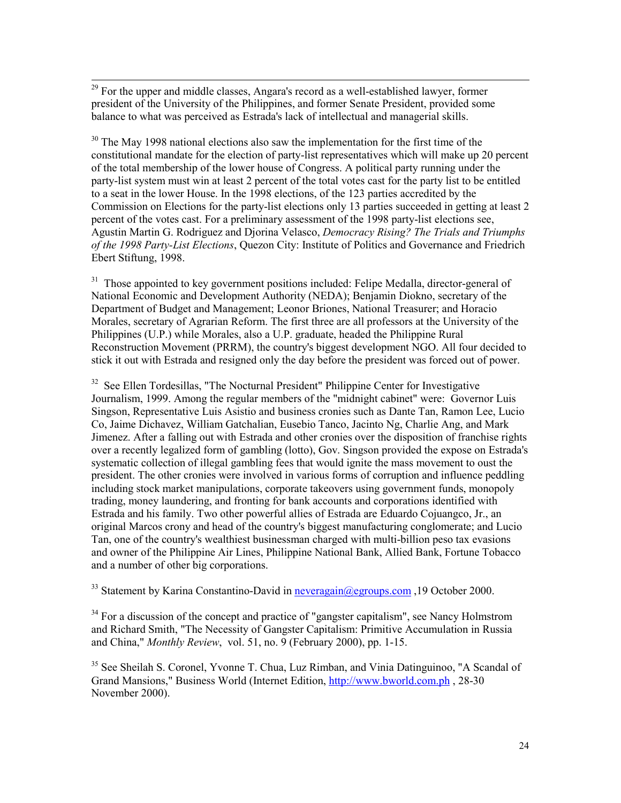<sup>29</sup> For the upper and middle classes, Angara's record as a well-established lawyer, former president of the University of the Philippines, and former Senate President, provided some balance to what was perceived as Estrada's lack of intellectual and managerial skills.

 $\overline{a}$ 

<sup>30</sup> The May 1998 national elections also saw the implementation for the first time of the constitutional mandate for the election of party-list representatives which will make up 20 percent of the total membership of the lower house of Congress. A political party running under the party-list system must win at least 2 percent of the total votes cast for the party list to be entitled to a seat in the lower House. In the 1998 elections, of the 123 parties accredited by the Commission on Elections for the party-list elections only 13 parties succeeded in getting at least 2 percent of the votes cast. For a preliminary assessment of the 1998 party-list elections see, Agustin Martin G. Rodriguez and Djorina Velasco, *Democracy Rising? The Trials and Triumphs of the 1998 Party-List Elections*, Quezon City: Institute of Politics and Governance and Friedrich Ebert Stiftung, 1998.

 $31$  Those appointed to key government positions included: Felipe Medalla, director-general of National Economic and Development Authority (NEDA); Benjamin Diokno, secretary of the Department of Budget and Management; Leonor Briones, National Treasurer; and Horacio Morales, secretary of Agrarian Reform. The first three are all professors at the University of the Philippines (U.P.) while Morales, also a U.P. graduate, headed the Philippine Rural Reconstruction Movement (PRRM), the country's biggest development NGO. All four decided to stick it out with Estrada and resigned only the day before the president was forced out of power.

<sup>32</sup> See Ellen Tordesillas, "The Nocturnal President" Philippine Center for Investigative Journalism, 1999. Among the regular members of the "midnight cabinet" were: Governor Luis Singson, Representative Luis Asistio and business cronies such as Dante Tan, Ramon Lee, Lucio Co, Jaime Dichavez, William Gatchalian, Eusebio Tanco, Jacinto Ng, Charlie Ang, and Mark Jimenez. After a falling out with Estrada and other cronies over the disposition of franchise rights over a recently legalized form of gambling (lotto), Gov. Singson provided the expose on Estrada's systematic collection of illegal gambling fees that would ignite the mass movement to oust the president. The other cronies were involved in various forms of corruption and influence peddling including stock market manipulations, corporate takeovers using government funds, monopoly trading, money laundering, and fronting for bank accounts and corporations identified with Estrada and his family. Two other powerful allies of Estrada are Eduardo Cojuangco, Jr., an original Marcos crony and head of the country's biggest manufacturing conglomerate; and Lucio Tan, one of the country's wealthiest businessman charged with multi-billion peso tax evasions and owner of the Philippine Air Lines, Philippine National Bank, Allied Bank, Fortune Tobacco and a number of other big corporations.

<sup>33</sup> Statement by Karina Constantino-David in neveragain@egroups.com, 19 October 2000.

 $34$  For a discussion of the concept and practice of "gangster capitalism", see Nancy Holmstrom and Richard Smith, "The Necessity of Gangster Capitalism: Primitive Accumulation in Russia and China," *Monthly Review*, vol. 51, no. 9 (February 2000), pp. 1-15.

<sup>35</sup> See Sheilah S. Coronel, Yvonne T. Chua, Luz Rimban, and Vinia Datinguinoo, "A Scandal of Grand Mansions," Business World (Internet Edition, http://www.bworld.com.ph. 28-30 November 2000).